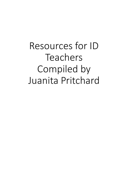Resources for ID Teachers Compiled by Juanita Pritchard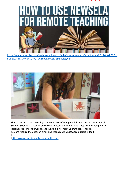

[https://www.youtube.com/watch?v=U\\_4eYLLSwIw&feature=share&fbclid=IwAR0oRWAzE28lSs](https://www.youtube.com/watch?v=U_4eYLLSwIw&feature=share&fbclid=IwAR0oRWAzE28lSs-n06epxs_cLKUF4opSoWo_qC1dYvNFvusM2LtINql1gMM)n06epxs\_cLKUF4opSoWo\_qC1dYvNFvusM2LtINql1gMM



Shared on a teacher site today: This website is offering two full weeks of lessons in Social Studies, Science & a section on the book Because of Winn-Dixie. They will be adding more lessons over time. You will have to judge if it will meet your students' needs. You are required to enter an email and then create a password but it is indeed free.

[[https://www.specialneedsforspecialkids.net\[](https://l.facebook.com/l.php?u=https%3A%2F%2Fwww.specialneedsforspecialkids.net%2F%3Ffbclid%3DIwAR1QSanLu_LJLzDX4i0BlPGJSfZNgrykFQ54sh99IlrXvfifg5LWAzdGiHE&h=AT2nIBx8gb3FHi-VqKbocOqVZN-EkP7vgFmINt0ugdnkzfm1mRPhZaIad2Q6nJfz7nCJWCJr_2ek3F0xl0SSzAgdCsfraCzPfLd8qu1rTUXV4qdyMrvRiPt91w-wEem2TKtrbIt3RHsYVIOUow&__tn__=-UK-R&c%5b0%5d=AT29Bs76kuoNXR9cnkTwCMyicDdYCfyQJRhcwtrcjNsDjiGbqw2rNlWjgGLE3MCa1F5RQwaYxB-SiuuwvAPt-EFudROsRQcIWiiWK--JuNOYt_89uplMxjv7i70VyfWTLUCO0K7DHtPcDBl320BY2g)]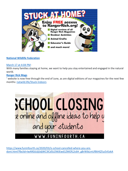

### **[National Wildlife Federation](https://www.facebook.com/NationalWildlife/?__cft__%5b0%5d=AZWHrNKxfDbqcyUEBuc_JLex96OSyRLwJ9CGfLeotGUIuQ3BzkGtfd4YtMF9nlatv0HISxWGf9HUaT-lsYClwov8mXjWwP2cIerbtX_6aGE6T3yt5-ogkPuhluGozCrv_Q95L8x6ZsnuZRouHLcOiuFvHvjao8WcZ1uLo4m10Kvh2Do1dHTsKy9qGbLLqtfXre0&__tn__=-UC%2CP-y-R)**

#### [March 17 at 4:04 PM](https://www.facebook.com/NationalWildlife/posts/10158168295763987?__cft__%5b0%5d=AZWHrNKxfDbqcyUEBuc_JLex96OSyRLwJ9CGfLeotGUIuQ3BzkGtfd4YtMF9nlatv0HISxWGf9HUaT-lsYClwov8mXjWwP2cIerbtX_6aGE6T3yt5-ogkPuhluGozCrv_Q95L8x6ZsnuZRouHLcOiuFvHvjao8WcZ1uLo4m10Kvh2Do1dHTsKy9qGbLLqtfXre0&__tn__=%2CO%2CP-y-R) ·

With many families staying at home, we want to help you stay entertained and engaged in the natural world.

#### **[Ranger Rick Mags](https://www.facebook.com/RangerRickMags/?__cft__%5b0%5d=AZWHrNKxfDbqcyUEBuc_JLex96OSyRLwJ9CGfLeotGUIuQ3BzkGtfd4YtMF9nlatv0HISxWGf9HUaT-lsYClwov8mXjWwP2cIerbtX_6aGE6T3yt5-ogkPuhluGozCrv_Q95L8x6ZsnuZRouHLcOiuFvHvjao8WcZ1uLo4m10Kvh2Do1dHTsKy9qGbLLqtfXre0&__tn__=kK-y-R)**

' website is now free through the end of June, as are digital editions of our magazines for the next few months: [natwild.life/Stuck-Indoors](https://l.facebook.com/l.php?u=http%3A%2F%2Fnatwild.life%2FStuck-Indoors%3Ffbclid%3DIwAR2i5lBix95iPdj1hDFYqgPfZz_AdDywItU9aNqw8EYKcRP3atwEq4QsfJg&h=AT30veET_6gt0lVnG6tmgzwV5gCfMdYv5-kHk0W9fSb14pQUXF1k4eXM3m4R7NYFTN3DlhNk_9xDsKtgUmlMfsCOTx2ixPQD3fhXePYCjvkL3Pk6Oik7qnN9DszfJ1duHOqNdkax2AQg1ZhTjQ&__tn__=-UK-y-R&c%5b0%5d=AT3WlcNCcwQUhuUEqW4cBDQ219SEiKXsxt3e47HdhrUBFDjLgOZLlbuqeNemO7MPHki-txRX5eUoUWC-5B3Qt-Nvl3Rpr4_md2jCnmJFwtBMCNPQi5AXZuT2KKkaLhxocVYIFPWgWmx3BqaE9oTl2S25jHITmfzEjNCA6_ty8ET1Tz9C2vutkP8fEPYsaGFJ1hjNklTadhJlJrsN)

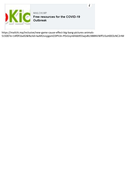

https://mailchi.mp/inclusive/new-game-cause-effect-big-bang-pictures-animals-51500?e=14f0f1ba92&fbclid=IwAR2vvyjgxmO3Ph3n-PDs5zyn6hbb955wjvBU3BBNVWff1i5oH0EDcNC2rIM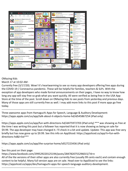

### OMazing Kids

.

.

March 17 at 10:02 AM ·

Currently free (3/17/20). Wow! It's heartwarming to see so many app developers offering free apps during the COVID-19 / Coronavirus pandemic. These will be helpful for families, teachers & SLPs. With the exception of app developers who made formal announcements on their pages, I have no way to know how long any app will stay free so grab what you want quickly. All were verified as being free in the USA App Store at the time of the post. Scroll down on OMazing Kids to see posts from yesterday and previous days. Many of those apps are still currently free as well. I may add more links to this post if more apps go free today.

-------------------------------------------------------------------------------------

Three awesome apps from Hamaguchi Apps for Speech, Language & Auditory Development: https://apps.apple.com/us/app/talk-about-it-objects-home-hd/id545867254 (iPad only)

https://apps.apple.com/us/app/fun-with-directions-hd/id475972703 (iPad only) \*\*\* was showing as free at the time I was writing this post but a follower has reported that it is now showing as being on sale for \$9.99. The app developer may have changed it. I'll check in a bit and update. Update: This app was free very briefly but has now gone up to \$9.99. See this info on AppSliced: https://appsliced.co/app?n=fun-withdirections-hd&l=list\*\*\*

. https://apps.apple.com/us/app/the-surprise-home/id527223436 (iPad only)

-------------------------------------------------------------------------------------

See this post on their page:

https://www.facebook.com/299529220125194/posts/2847820755296015/?d=n All of the lite versions of their other apps are also currently free (usually 99 cents each) and contain enough content to be helpful. Many full version apps are on sale. Head over to AppSliced to see the links: https://appsliced.co/apps/dev/hamaguchi-apps-for-speech-language-auditory-development.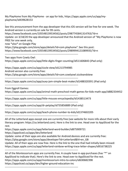My PlayHome from My PlayHome - an app for kids, https://apps.apple.com/us/app/myplayhome/id439628153

. See this announcement from the app developer that this iOS version will be free for one week. The Android version is currently on sale for 99 cents. https://www.facebook.com/105548139534562/posts/2987745841314763/?d=n Update: on 3/18/20 the app developer announced that the Android version of "My PlayHome is now FREE for one week only, now \*also\* on Google Play https://play.google.com/store/apps/details?id=com.playhome". See this post: https://www.facebook.com/105548139534562/posts/2989994121089935/?d=n ------------------------------------------------------------------------------------- Two apps from Cowly Owl: https://apps.apple.com/us/app/little-digits-finger-counting/id511606843 (iPad only) . https://apps.apple.com/us/app/sizzle-stew/id1213794985 Android version also currently free: https://play.google.com/store/apps/details?id=com.cowlyowl.sizzleandstew ------------------------------------------------------------------------------------ https://apps.apple.com/us/app/auxy-jam-simple-beat-maker/id1488320391 (iPad only) ------------------------------------------------------------------------------------- From Eggroll Games: https://apps.apple.com/us/app/animal-math-preschool-math-games-for-kids-math-app/id882334452 ------------------------------------------------------------------------------------ https://apps.apple.com/us/app/little-mouses-encyclopedia/id1438513473 ------------------------------------------------------------------------------------ https://apps.apple.com/us/app/dr-petplay/id735856889 (iPad only) ------------------------------------------------------------------------------------ https://apps.apple.com/us/app/teach-phone-number-to-kids/id1374602205 ------------------------------------------------------------------------------------- All of the Letterland apps except one are currently free (see website for more info about their early literacy program: https://us.letterland.com). Here is the link to one. Head over to AppSliced for the rest. https://apps.apple.com/us/app/letterland-word-builder/id875909721 https://appsliced.co/apps/dev/letterland Update: some of their apps are also available for Android devices and are currently free:

https://play.google.com/store/apps/developer?id=Letterland&hl=en\_GB

Update: All of their apps are now free. Here is the link to the one that had initially been missed: https://apps.apple.com/us/app/letterland-rainbow-writing-trace-letter-shapes/id916738225

-------------------------------------------------------------------------------------

-------------------------------------------------------------------------------------

All of the Montessorium apps are currently free. A couple have in-app purchases (has "\*" on AppSliced to indicate that). Here's the link to one. Head over to AppSliced for the rest. https://apps.apple.com/us/app/montessorium-intro-to-colors/id630682398 https://appsliced.co/apps/dev/higher-ground-education-inc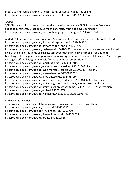In case you missed it last time.... Teach Your Monster to Read is free again: https://apps.apple.com/us/app/teach-your-monster-to-read/id828392046

-------------------------------------------------------------------------------------

Added:

3/20/20 John Holloran just announced that the Wordtoob app is FREE for awhile. See screenshot added to comments. Great app. So much generosity from app developers today https://apps.apple.com/us/app/wordtoob-language-learning/id651639627, iPad only

-------------------------------------------------------------------------------------

Added: A few more apps have gone free. See comments below for screenshots from AppSliced: https://apps.apple.com/us/app/dirt-trackin-sprint-cars/id1257424250 https://apps.apple.com/us/app/bottom-of-the-9th/id1205620577 https://apps.apple.com/us/app/rugby-golf/id1041804551 (be aware that there are some unlocked links at the end of the game so suggest using your device in "airplane mode" for this app) Marching Order - super cute app to work on following directions & spatial relationships. Nice that you can toggle off the background music for those with sensory sensitivities. https://apps.apple.com/us/app/marching-order/id1099867100 https://apps.apple.com/us/app/even-monsters-are-shy/id837222888, iPad only https://apps.apple.com/us/app/even-monsters-get-sick/id535303119, iPad only https://apps.apple.com/us/app/altos-adventure/id950812012 https://apps.apple.com/us/app/altos-odyssey/id1182456409 https://apps.apple.com/us/app/touchmath-jungle-addition-1/id884856080, iPad only https://apps.apple.com/us/app/brainy-bugs-preschool-games/id497840635, iPad only https://apps.apple.com/us/app/brainy-bugs-preschool-games/id497846204 - iPhone version https://apps.apple.com/us/app/omby/id983021179 https://apps.apple.com/us/app/wannadraw/id1501912162 (always free) ————————————

And even more added:

Two expensive graphing calculator apps from Texas Instruments are currently free: https://apps.apple.com/us/app/ti-nspire/id590823242 https://apps.apple.com/us/app/ti-nspire-cas/id545351700 https://apps.apple.com/us/app/draw-with-math/id1447996733 https://apps.apple.com/us/app/prune/id972319818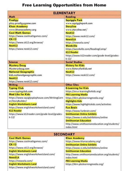### **Free Learning Opportunities from Home**

| <b>ELEMENTARY</b>                                                                                                                                                                                                                                                                                        |                                                                                                                                                                                                                                                                                                                                                                                                                                          |
|----------------------------------------------------------------------------------------------------------------------------------------------------------------------------------------------------------------------------------------------------------------------------------------------------------|------------------------------------------------------------------------------------------------------------------------------------------------------------------------------------------------------------------------------------------------------------------------------------------------------------------------------------------------------------------------------------------------------------------------------------------|
| Math                                                                                                                                                                                                                                                                                                     | <b>Reading</b>                                                                                                                                                                                                                                                                                                                                                                                                                           |
| Prodigy<br>play.prodigygame.com<br><b>Khan Academy</b><br>www.khanacademy.org<br><b>Cool Math Games</b><br>https://www.coolmathgames.com/<br><b>CK-12</b><br>https://www.ck12.org/browse/<br>NeoK12<br>https://www.neok12.com/                                                                           | <b>Squiggle Park</b><br>www.squigglepark.com<br><b>Storyline</b><br>www.storyline.net/<br>NeoK12<br>https://www.neok12.com/<br><b>NewsELA</b><br>https://newsela.com/<br>Wordville<br>https://wordville.com/ReadingComp/<br><b>K12 Reader</b><br>https://www.k12reader.com/grade-level/grades-<br>$k-12/$                                                                                                                                |
| <b>Science</b>                                                                                                                                                                                                                                                                                           | <b>Social Studies</b>                                                                                                                                                                                                                                                                                                                                                                                                                    |
| <b>Mystery Doug</b><br>Mysterydoug.com<br><b>National Geographic</b><br>kids.nationalgeographic.com<br>NeoK12<br>https://www.neok12.com/                                                                                                                                                                 | <b>History for Kids</b><br>www.historyforkids.net<br>NeoK12<br>https://www.neok12.com/                                                                                                                                                                                                                                                                                                                                                   |
| <b>Writing</b>                                                                                                                                                                                                                                                                                           | <b>Other Sites</b>                                                                                                                                                                                                                                                                                                                                                                                                                       |
| <b>Typing Club</b><br>www.typingclub.com<br><b>Mad Libs for Kids</b><br>https://www.squiglysplayhouse.com/WritingCorn<br>er/StoryBuilder/<br><b>English Worksheets Land</b><br>https://www.englishworksheetsland.com/<br><b>K12 Reader</b><br>https://www.k12reader.com/grade-level/grades-<br>$k - 12/$ | <b>E-Learning for Kids</b><br>https://en.e-learningforkids.org/<br><b>PBS Learning Media</b><br>https://klrn.pbslearningmedia.org/<br><b>Highlights Kids</b><br>https://www.highlightskids.com/activities<br><b>Fun Brain</b><br>https://www.funbrain.com/<br><b>Smithsonian Online Exhibits</b><br>https://www.si.edu/exhibitions/online<br><b>Smithsonian Education</b><br>http://www.smithsonianeducation.org/students/<br>index.html |

| <b>SECONDARY</b>                                                                                                                                                                                                                                                                                      |                                                                                                                                                                                                                                                                                                      |
|-------------------------------------------------------------------------------------------------------------------------------------------------------------------------------------------------------------------------------------------------------------------------------------------------------|------------------------------------------------------------------------------------------------------------------------------------------------------------------------------------------------------------------------------------------------------------------------------------------------------|
| <b>Cool Math Games</b><br>https://www.coolmathgames.com/<br>$CK-12$<br>https://www.ck12.org/browse/<br><b>English Worksheets Land</b><br>https://www.englishworksheetsland.com/<br><b>NewsELA</b><br>https://newsela.com/<br><b>English Worksheets Land</b><br>https://www.englishworksheetsland.com/ | <b>Khan Academy</b><br>https://www.khanacademy.org/<br><b>Smithsonian Online Exhibits</b><br>https://www.si.edu/exhibitions/online<br><b>Smithsonian Education</b><br>http://www.smithsonianeducation.org/students/<br>index.html<br><b>PBS Learning Media</b><br>https://klrn.pbslearningmedia.org/ |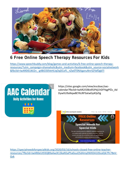

### **6 Free Online Speech Therapy Resources For Kids**

https://www.speechbuddy.com/blog/games-and-activities/6-free-online-speech-therapy[resources/?utm\\_campaign=shareaholic&utm\\_medium=facebook&utm\\_source=socialnetwork](https://www.speechbuddy.com/blog/games-and-activities/6-free-online-speech-therapy-resources/?utm_campaign=shareaholic&utm_medium=facebook&utm_source=socialnetwork&fbclid=IwAR0IELWJ2n_-g4BiO30VeHLIqOqDCoFL_nZw0T0NJtganuNnrSZYafDgbTI) &fbclid=IwAR0IELWJ2n\_-g4BiO30VeHLIqOqDCoFL\_nZw0T0NJtganuNnrSZYafDgbTI



https://sites.google.com/view/escdaac/aaccalendar?fbclid=IwAR2i5lBix95iPdj1hDFYqgPfZz\_Ad DywItU9aNqw8EYKcRP3atwEq4QsfJg



https://specialneedsforspecialkids.org/2020/03/16/schools-closed-free-online-teacher[resources/?fbclid=IwAR0eUt93QB9aAwJX13kaN5aPha0uuO5d4my0WXDA10ScaDjk7Pc7BxV-](https://specialneedsforspecialkids.org/2020/03/16/schools-closed-free-online-teacher-resources/?fbclid=IwAR0eUt93QB9aAwJX13kaN5aPha0uuO5d4my0WXDA10ScaDjk7Pc7BxV-Gvk)Gvk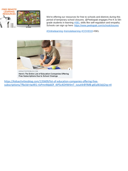

We're offering our resources for free to schools and districts during this period of temporary school closures. @Peekapak engages Pre-K to 5thgrade students in learning **[#SEL](https://www.facebook.com/hashtag/sel?epa=HASHTAG)** skills like self-regulation and empathy. Schools can sign up here: [https://www.peekapak.com/schoolclosures](https://l.facebook.com/l.php?u=https%3A%2F%2Fwww.peekapak.com%2Fschoolclosures%3Ffbclid%3DIwAR3_m_TVumEqgV7KQnbk-xOCpqlCkAQDACOWHNlL974EbPtPLPJGetJgP6c&h=AT3s3Nblw9lA5gpUQ7gmNCP-aol6nVanlFtkGm1cgnC_gNZW9QpuA7pHMZxYl5xs78T-moptmRLr3qGjZirnYRgYLqBhlmuSBM9BlyxMh8n_9SiU81RsCzL9FAh3iCN_oiQ7iNC0Y7a4-66EauAzUUo)

[#Onlinelearning](https://www.facebook.com/hashtag/onlinelearning?epa=HASHTAG) [#remotelearning](https://www.facebook.com/hashtag/remotelearning?epa=HASHTAG) [#COVID19](https://www.facebook.com/hashtag/covid19?epa=HASHTAG) #SEL



KIDSACTIVITIESBLOG.COM

Here's The Entire List of Education Companies Offering Free Subscriptions Due to School Closings

https://kidsactivitiesblog.com/135609/list-of-education-companies-offering-free[subscriptions/?fbclid=IwAR1-rlzPmnMpbDf\\_4iP5c4OHW4mT\\_ivzut4r8YlMB-gtEyiB1bjIj2rg-n4](https://kidsactivitiesblog.com/135609/list-of-education-companies-offering-free-subscriptions/?fbclid=IwAR1-rlzPmnMpbDf_4iP5c4OHW4mT_ivzut4r8YlMB-gtEyiB1bjIj2rg-n4)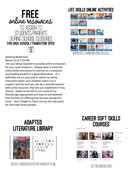

Adulting Made Easy March 13 at 7:19 PM ·

Are you being required to provide online instruction for your sped students? Always keep in mind not every family has access to internet or a computer, so providing packets is a good alternative. It is definitely not an easy task to switch to online instruction when your students need 1-on-1 support, but the best you can do is provide parents with some resources that the can implement if they choose. Swipe to the left to see some of my favorite age appropriate and easy to use websites that are free (or offering free services during this time). Don't forget to check out my last two posts for free take home packets.

## **LIFE SKILLS ONLINE ACTIVITIES**



## **ADAPTED LITERATURE LIBRARY**



RICEDU/SHERLOCKCENTER/WWSLIST.HTML

# **CAREER SOFT SKILLS COURSES**



GETYOUREDGE ORG